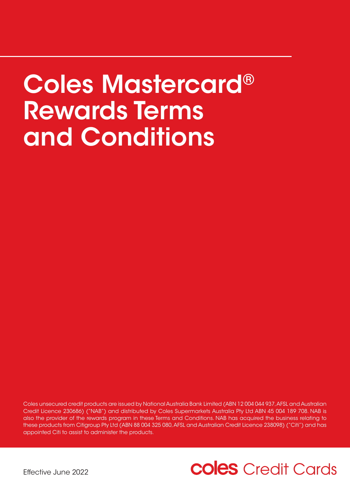# Coles Mastercard® Rewards Terms and Conditions

Coles unsecured credit products are issued by National Australia Bank Limited (ABN 12 004 044 937, AFSL and Australian Credit Licence 230686) ("NAB") and distributed by Coles Supermarkets Australia Pty Ltd ABN 45 004 189 708. NAB is also the provider of the rewards program in these Terms and Conditions. NAB has acquired the business relating to these products from Citigroup Pty Ltd (ABN 88 004 325 080, AFSL and Australian Credit Licence 238098) ("Citi") and has appointed Citi to assist to administer the products.

## **coles** Credit Cards

Effective June 2022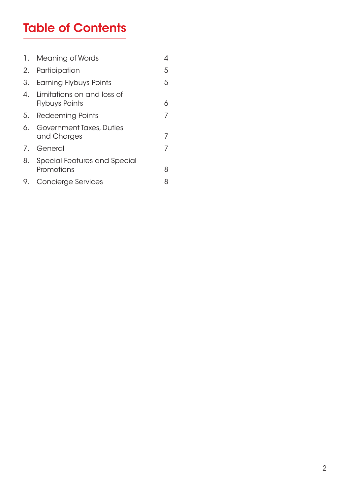### Table of Contents

| 1. . | Meaning of Words                                       |   |
|------|--------------------------------------------------------|---|
| 2.   | Participation                                          | 5 |
| 3.   | Earning Flybuys Points                                 | 5 |
|      | 4. Limitations on and loss of<br><b>Flybuys Points</b> | 6 |
|      | 5. Redeeming Points                                    |   |
| 6.   | Government Taxes, Duties<br>and Charges                |   |
|      | 7. General                                             |   |
| 8.   | <b>Special Features and Special</b><br>Promotions      | 8 |
| 9.   | <b>Concierge Services</b>                              |   |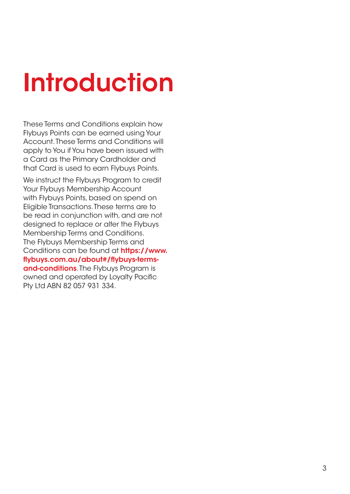# Introduction

These Terms and Conditions explain how Flybuys Points can be earned using Your Account. These Terms and Conditions will apply to You if You have been issued with a Card as the Primary Cardholder and that Card is used to earn Flybuys Points.

We instruct the Flybuys Program to credit Your Flybuys Membership Account with Flybuys Points, based on spend on Eligible Transactions. These terms are to be read in conjunction with, and are not designed to replace or alter the Flybuys Membership Terms and Conditions. The Flybuys Membership Terms and Conditions can be found at [https://www.](https://www.flybuys.com.au/about#/flybuys-terms-and-conditions) [flybuys.com.au/about#/flybuys-terms](https://www.flybuys.com.au/about#/flybuys-terms-and-conditions)[and-conditions](https://www.flybuys.com.au/about#/flybuys-terms-and-conditions). The Flybuys Program is owned and operated by Loyalty Pacific Pty Ltd ABN 82 057 931 334.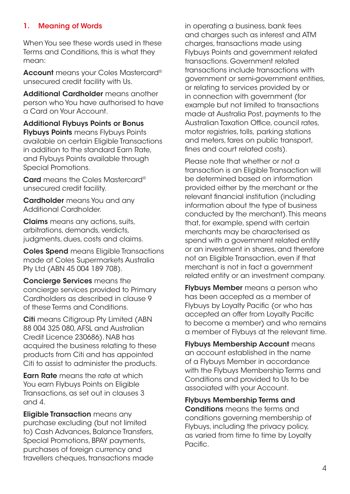#### <span id="page-3-0"></span>1. Meaning of Words

When You see these words used in these Terms and Conditions, this is what they mean:

Account means your Coles Mastercard<sup>®</sup> unsecured credit facility with Us.

Additional Cardholder means another person who You have authorised to have a Card on Your Account.

Additional Flybuys Points or Bonus **Flybuys Points** means Flybuys Points available on certain Eligible Transactions in addition to the standard Earn Rate, and Flybuys Points available through Special Promotions.

Card means the Coles Mastercard® unsecured credit facility.

Cardholder means You and any Additional Cardholder.

Claims means any actions, suits, arbitrations, demands, verdicts, judgments, dues, costs and claims.

Coles Spend means Eligible Transactions made at Coles Supermarkets Australia Pty Ltd (ABN 45 004 189 708).

Concierge Services means the concierge services provided to Primary Cardholders as described in clause 9 of these Terms and Conditions.

Citi means Citigroup Pty Limited (ABN 88 004 325 080, AFSL and Australian Credit Licence 230686). NAB has acquired the business relating to these products from Citi and has appointed Citi to assist to administer the products.

**Earn Rate** means the rate at which You earn Flybuys Points on Eligible Transactions, as set out in clauses 3 and 4.

**Eligible Transaction** means any purchase excluding (but not limited to) Cash Advances, Balance Transfers, Special Promotions, BPAY payments, purchases of foreign currency and travellers cheques, transactions made in operating a business, bank fees and charges such as interest and ATM charges, transactions made using Flybuys Points and government related transactions. Government related transactions include transactions with government or semi-government entities, or relating to services provided by or in connection with government (for example but not limited to transactions made at Australia Post, payments to the Australian Taxation Office, council rates, motor registries, tolls, parking stations and meters, fares on public transport, fines and court related costs).

Please note that whether or not a transaction is an Eligible Transaction will be determined based on information provided either by the merchant or the relevant financial institution (including information about the type of business conducted by the merchant). This means that, for example, spend with certain merchants may be characterised as spend with a government related entity or an investment in shares, and therefore not an Eligible Transaction, even if that merchant is not in fact a government related entity or an investment company.

**Flybuys Member** means a person who has been accepted as a member of Flybuys by Loyalty Pacific (or who has accepted an offer from Loyalty Pacific to become a member) and who remains a member of Flybuys at the relevant time.

Flybuys Membership Account means an account established in the name of a Flybuys Member in accordance with the Flybuys Membership Terms and Conditions and provided to Us to be associated with your Account.

Flybuys Membership Terms and Conditions means the terms and conditions governing membership of Flybuys, including the privacy policy, as varied from time to time by Loyalty Pacific.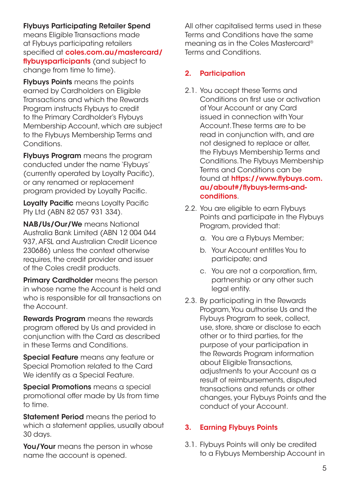#### <span id="page-4-0"></span>Flybuys Participating Retailer Spend

means Eligible Transactions made at Flybuys participating retailers specified at [coles.com.au/mastercard/](http://coles.com.au/mastercard/flybuysparticipants) [flybuysparticipants](http://coles.com.au/mastercard/flybuysparticipants) (and subject to change from time to time).

**Flybuys Points** means the points earned by Cardholders on Eligible Transactions and which the Rewards Program instructs Flybuys to credit to the Primary Cardholder's Flybuys Membership Account, which are subject to the Flybuys Membership Terms and Conditions.

Flybuys Program means the program conducted under the name 'Flybuys' (currently operated by Loyalty Pacific), or any renamed or replacement program provided by Loyalty Pacific.

Loyalty Pacific means Loyalty Pacific Pty Ltd (ABN 82 057 931 334).

NAB/Us/Our/We means National Australia Bank Limited (ABN 12 004 044 937, AFSL and Australian Credit Licence 230686) unless the context otherwise requires, the credit provider and issuer of the Coles credit products.

**Primary Cardholder** means the person in whose name the Account is held and who is responsible for all transactions on the Account.

**Rewards Program** means the rewards program offered by Us and provided in conjunction with the Card as described in these Terms and Conditions.

Special Feature means any feature or Special Promotion related to the Card We identify as a Special Feature.

Special Promotions means a special promotional offer made by Us from time to time.

**Statement Period** means the period to which a statement applies, usually about 30 days.

You/Your means the person in whose name the account is opened.

All other capitalised terms used in these Terms and Conditions have the same meaning as in the Coles Mastercard® Terms and Conditions.

#### 2. Participation

- 2.1. You accept these Terms and Conditions on first use or activation of Your Account or any Card issued in connection with Your Account. These terms are to be read in conjunction with, and are not designed to replace or alter, the Flybuys Membership Terms and Conditions. The Flybuys Membership Terms and Conditions can be found at [https://www.flybuys.com.](https://www.flybuys.com.au/about#/flybuys-terms-and-conditions) [au/about#/flybuys-terms-and](https://www.flybuys.com.au/about#/flybuys-terms-and-conditions)[conditions](https://www.flybuys.com.au/about#/flybuys-terms-and-conditions).
- 2.2. You are eligible to earn Flybuys Points and participate in the Flybuys Program, provided that:
	- a. You are a Flybuys Member;
	- b. Your Account entitles You to participate; and
	- c. You are not a corporation, firm, partnership or any other such legal entity.
- 2.3. By participating in the Rewards Program, You authorise Us and the Flybuys Program to seek, collect, use, store, share or disclose to each other or to third parties, for the purpose of your participation in the Rewards Program information about Eligible Transactions, adjustments to your Account as a result of reimbursements, disputed transactions and refunds or other changes, your Flybuys Points and the conduct of your Account.

#### 3. Earning Flybuys Points

3.1. Flybuys Points will only be credited to a Flybuys Membership Account in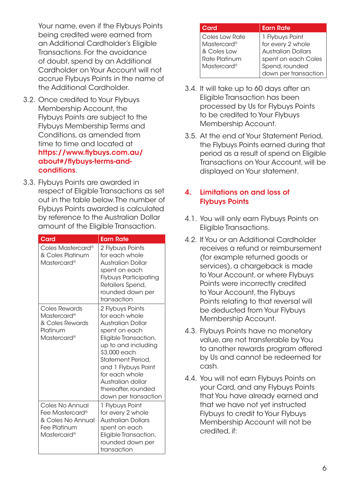<span id="page-5-0"></span>Your name, even if the Flybuys Points being credited were earned from an Additional Cardholder's Eligible Transactions. For the avoidance of doubt, spend by an Additional Cardholder on Your Account will not accrue Flybuys Points in the name of the Additional Cardholder.

- 3.2. Once credited to Your Flybuys Membership Account, the Flybuys Points are subject to the Flybuys Membership Terms and Conditions, as amended from time to time and located at [https://www.flybuys.com.au/](https://www.flybuys.com.au/about#/flybuys-terms-and-conditions) [about#/flybuys-terms-and](https://www.flybuys.com.au/about#/flybuys-terms-and-conditions)[conditions](https://www.flybuys.com.au/about#/flybuys-terms-and-conditions).
- 3.3. Flybuys Points are awarded in respect of Eligible Transactions as set out in the table below. The number of Flybuys Points awarded is calculated by reference to the Australian Dollar amount of the Eligible Transaction.

| Card                                                                                                      | <b>Earn Rate</b>                                                                                                                                                                                                                                                           |
|-----------------------------------------------------------------------------------------------------------|----------------------------------------------------------------------------------------------------------------------------------------------------------------------------------------------------------------------------------------------------------------------------|
| Coles Mastercard <sup>®</sup><br>& Coles Platinum<br>Mastercard <sup>®</sup>                              | 2 Flybuys Points<br>for each whole<br><b>Australian Dollar</b><br>spent on each<br>Flybuys Participating<br>Retailers Spend,<br>rounded down per<br>transaction                                                                                                            |
| Coles Rewards<br>Mastercard <sup>®</sup><br>& Coles Rewards<br>Platinum<br>Mastercard®                    | 2 Flybuys Points<br>for each whole<br>Australian Dollar<br>spent on each<br>Eligible Transaction,<br>up to and including<br>\$3,000 each<br>Statement Period.<br>and 1 Flybuys Point<br>for each whole<br>Australian dollar<br>thereafter, rounded<br>down per transaction |
| Coles No Annual<br>Fee Mastercard®<br>& Coles No Annual<br><b>Fee Platinum</b><br>Mastercard <sup>®</sup> | 1 Flybuys Point<br>for every 2 whole<br><b>Australian Dollars</b><br>spent on each<br>Eligible Transaction,<br>rounded down per<br>transaction                                                                                                                             |

| Card           | <b>Earn Rate</b>          |
|----------------|---------------------------|
| Coles Low Rate | 1 Flybuys Point           |
| Mastercard®    | for every 2 whole         |
| & Coles Low    | <b>Australian Dollars</b> |
| Rate Platinum  | spent on each Coles       |
| Mastercard®    | Spend, rounded            |
|                | down per transaction      |

- 3.4. It will take up to 60 days after an Eligible Transaction has been processed by Us for Flybuys Points to be credited to Your Flybuys Membership Account.
- 3.5. At the end of Your Statement Period, the Flybuys Points earned during that period as a result of spend on Eligible Transactions on Your Account, will be displayed on Your statement.

#### 4. Limitations on and loss of Flybuys Points

- 4.1. You will only earn Flybuys Points on Eligible Transactions.
- 4.2. If You or an Additional Cardholder receives a refund or reimbursement (for example returned goods or services), a chargeback is made to Your Account, or where Flybuys Points were incorrectly credited to Your Account, the Flybuys Points relating to that reversal will be deducted from Your Flybuys Membership Account.
- 4.3. Flybuys Points have no monetary value, are not transferable by You to another rewards program offered by Us and cannot be redeemed for cash.
- 4.4. You will not earn Flybuys Points on your Card, and any Flybuys Points that You have already earned and that we have not yet instructed Flybuys to credit to Your Flybuys Membership Account will not be credited, if: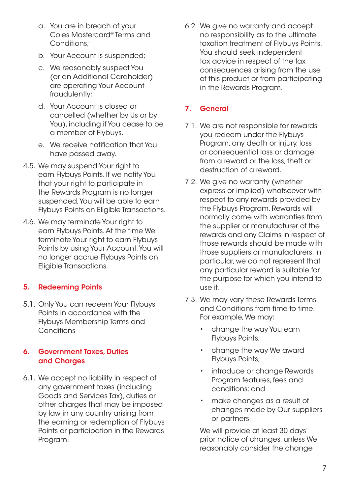- <span id="page-6-0"></span>a. You are in breach of your Coles Mastercard® Terms and Conditions;
- b. Your Account is suspended;
- c. We reasonably suspect You (or an Additional Cardholder) are operating Your Account fraudulently;
- d. Your Account is closed or cancelled (whether by Us or by You), including if You cease to be a member of Flybuys.
- e. We receive notification that You have passed away.
- 4.5. We may suspend Your right to earn Flybuys Points. If we notify You that your right to participate in the Rewards Program is no longer suspended, You will be able to earn Flybuys Points on Eligible Transactions.
- 4.6. We may terminate Your right to earn Flybuys Points. At the time We terminate Your right to earn Flybuys Points by using Your Account, You will no longer accrue Flybuys Points on Eligible Transactions.

#### 5. Redeeming Points

5.1. Only You can redeem Your Flybuys Points in accordance with the Flybuys Membership Terms and **Conditions** 

#### 6. Government Taxes, Duties and Charges

6.1. We accept no liability in respect of any government taxes (including Goods and Services Tax), duties or other charges that may be imposed by law in any country arising from the earning or redemption of Flybuys Points or participation in the Rewards Program.

6.2. We give no warranty and accept no responsibility as to the ultimate taxation treatment of Flybuys Points. You should seek independent tax advice in respect of the tax consequences arising from the use of this product or from participating in the Rewards Program.

#### 7. General

- 7.1. We are not responsible for rewards you redeem under the Flybuys Program, any death or injury, loss or consequential loss or damage from a reward or the loss, theft or destruction of a reward.
- 7.2. We give no warranty (whether express or implied) whatsoever with respect to any rewards provided by the Flybuys Program. Rewards will normally come with warranties from the supplier or manufacturer of the rewards and any Claims in respect of those rewards should be made with those suppliers or manufacturers. In particular, we do not represent that any particular reward is suitable for the purpose for which you intend to use it.
- 7.3. We may vary these Rewards Terms and Conditions from time to time. For example, We may:
	- change the way You earn Flybuys Points;
	- change the way We award Flybuys Points;
	- introduce or change Rewards Program features, fees and conditions; and
	- make changes as a result of changes made by Our suppliers or partners.

 We will provide at least 30 days' prior notice of changes, unless We reasonably consider the change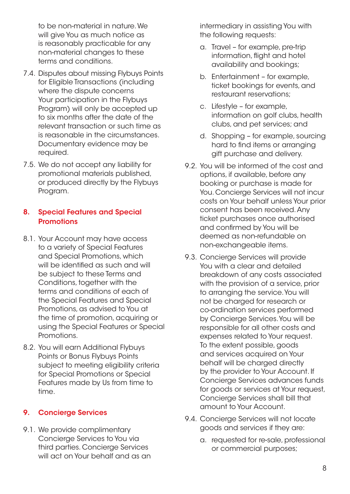<span id="page-7-0"></span>to be non-material in nature. We will give You as much notice as is reasonably practicable for any non-material changes to these terms and conditions.

- 7.4. Disputes about missing Flybuys Points for Eligible Transactions (including where the dispute concerns Your participation in the Flybuys Program) will only be accepted up to six months after the date of the relevant transaction or such time as is reasonable in the circumstances. Documentary evidence may be required.
- 7.5. We do not accept any liability for promotional materials published, or produced directly by the Flybuys Program.

#### 8. Special Features and Special **Promotions**

- 8.1. Your Account may have access to a variety of Special Features and Special Promotions, which will be identified as such and will be subject to these Terms and Conditions, together with the terms and conditions of each of the Special Features and Special Promotions, as advised to You at the time of promotion, acquiring or using the Special Features or Special Promotions.
- 8.2. You will earn Additional Flybuys Points or Bonus Flybuys Points subject to meeting eligibility criteria for Special Promotions or Special Features made by Us from time to time.

#### 9. Concierge Services

9.1. We provide complimentary Concierge Services to You via third parties. Concierge Services will act on Your behalf and as an

intermediary in assisting You with the following requests:

- a. Travel for example, pre-trip information, flight and hotel availability and bookings;
- b. Entertainment for example, ticket bookings for events, and restaurant reservations;
- c. Lifestyle for example, information on golf clubs, health clubs, and pet services; and
- d. Shopping for example, sourcing hard to find items or arranging gift purchase and delivery.
- 9.2. You will be informed of the cost and options, if available, before any booking or purchase is made for You. Concierge Services will not incur costs on Your behalf unless Your prior consent has been received. Any ticket purchases once authorised and confirmed by You will be deemed as non-refundable on non-exchangeable items.
- 9.3. Concierge Services will provide You with a clear and detailed breakdown of any costs associated with the provision of a service, prior to arranging the service. You will not be charged for research or co-ordination services performed by Concierge Services. You will be responsible for all other costs and expenses related to Your request. To the extent possible, goods and services acquired on Your behalf will be charged directly by the provider to Your Account. If Concierge Services advances funds for goods or services at Your request, Concierge Services shall bill that amount to Your Account.
- 9.4. Concierge Services will not locate goods and services if they are:
	- a. requested for re-sale, professional or commercial purposes;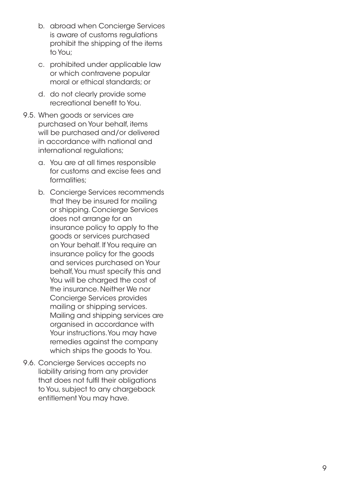- b. abroad when Concierge Services is aware of customs regulations prohibit the shipping of the items to You;
- c. prohibited under applicable law or which contravene popular moral or ethical standards; or
- d. do not clearly provide some recreational benefit to You.
- 9.5. When goods or services are purchased on Your behalf, items will be purchased and/or delivered in accordance with national and international regulations;
	- a. You are at all times responsible for customs and excise fees and formalities;
	- b. Concierge Services recommends that they be insured for mailing or shipping. Concierge Services does not arrange for an insurance policy to apply to the goods or services purchased on Your behalf. If You require an insurance policy for the goods and services purchased on Your behalf, You must specify this and You will be charged the cost of the insurance. Neither We nor Concierge Services provides mailing or shipping services. Mailing and shipping services are organised in accordance with Your instructions. You may have remedies against the company which ships the goods to You.
- 9.6. Concierge Services accepts no liability arising from any provider that does not fulfil their obligations to You, subject to any chargeback entitlement You may have.